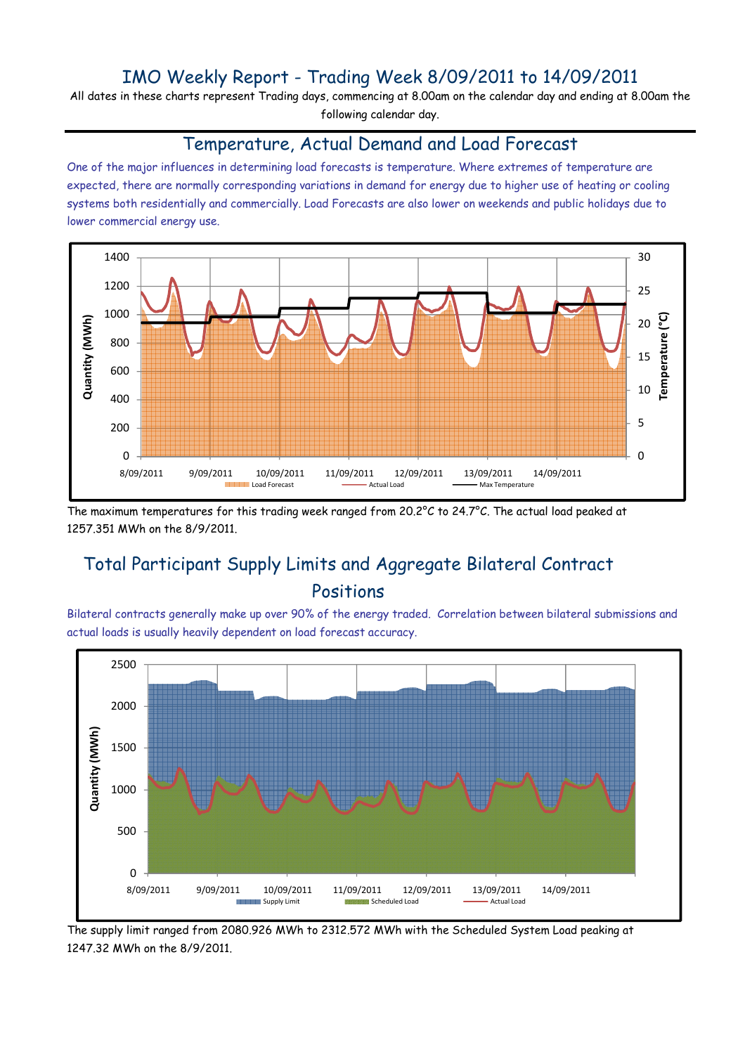### IMO Weekly Report - Trading Week 8/09/2011 to 14/09/2011

All dates in these charts represent Trading days, commencing at 8.00am on the calendar day and ending at 8.00am the following calendar day.

#### Temperature, Actual Demand and Load Forecast

One of the major influences in determining load forecasts is temperature. Where extremes of temperature are expected, there are normally corresponding variations in demand for energy due to higher use of heating or cooling systems both residentially and commercially. Load Forecasts are also lower on weekends and public holidays due to lower commercial energy use.



The maximum temperatures for this trading week ranged from 20.2°C to 24.7°C. The actual load peaked at 1257.351 MWh on the 8/9/2011.

# Total Participant Supply Limits and Aggregate Bilateral Contract Positions

Bilateral contracts generally make up over 90% of the energy traded. Correlation between bilateral submissions and actual loads is usually heavily dependent on load forecast accuracy.



The supply limit ranged from 2080.926 MWh to 2312.572 MWh with the Scheduled System Load peaking at 1247.32 MWh on the 8/9/2011.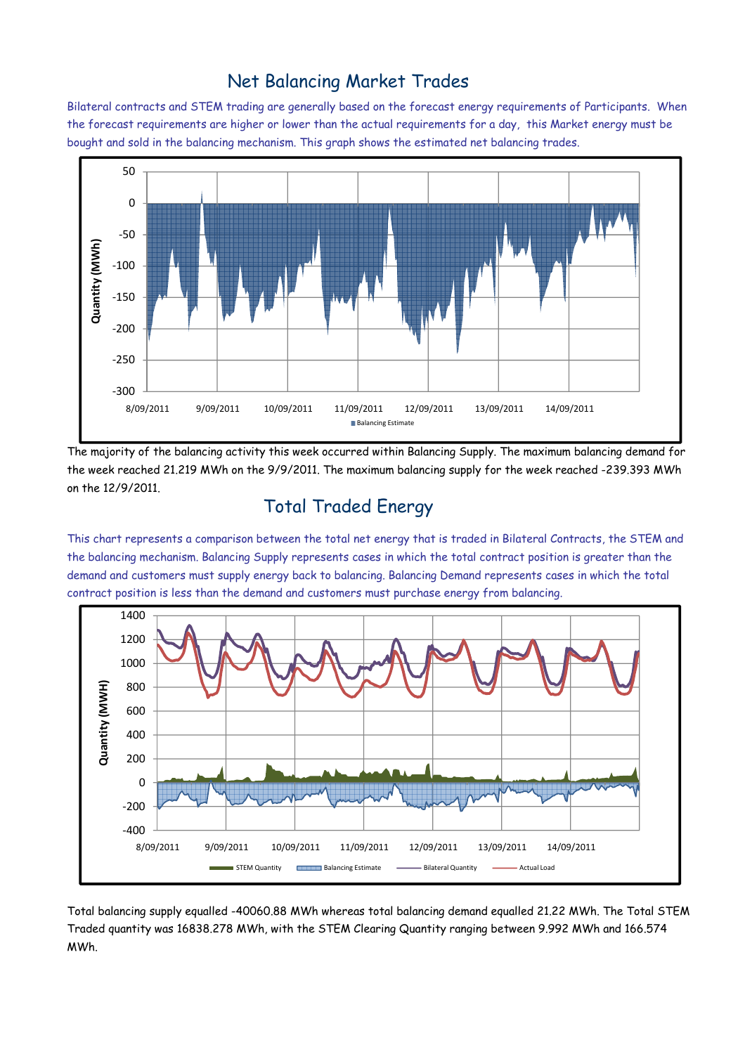### Net Balancing Market Trades

Bilateral contracts and STEM trading are generally based on the forecast energy requirements of Participants. When the forecast requirements are higher or lower than the actual requirements for a day, this Market energy must be bought and sold in the balancing mechanism. This graph shows the estimated net balancing trades.



The majority of the balancing activity this week occurred within Balancing Supply. The maximum balancing demand for the week reached 21.219 MWh on the 9/9/2011. The maximum balancing supply for the week reached -239.393 MWh on the 12/9/2011.

## Total Traded Energy

This chart represents a comparison between the total net energy that is traded in Bilateral Contracts, the STEM and the balancing mechanism. Balancing Supply represents cases in which the total contract position is greater than the demand and customers must supply energy back to balancing. Balancing Demand represents cases in which the total contract position is less than the demand and customers must purchase energy from balancing.



Total balancing supply equalled -40060.88 MWh whereas total balancing demand equalled 21.22 MWh. The Total STEM Traded quantity was 16838.278 MWh, with the STEM Clearing Quantity ranging between 9.992 MWh and 166.574 MWh.